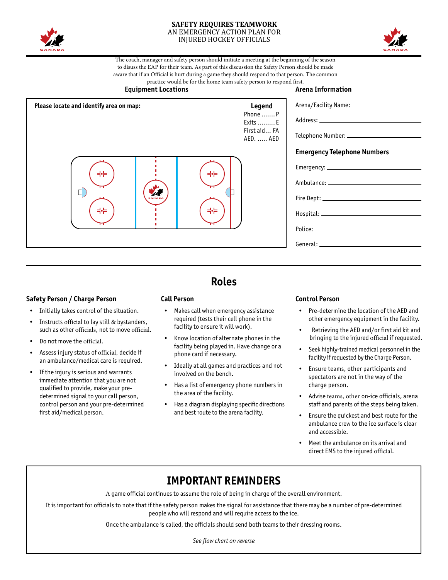

#### **SAFETY REQUIRES TEAMWORK**  AN EMERGENCY ACTION PLAN FOR INJURED HOCKEY OFFICIALS



The coach, manager and safety person should initiate a meeting at the beginning of the season to disuss the EAP for their team. As part of this discussion the Safety Person should be made aware that if an Official is hurt during a game they should respond to that person. The common practice would be for the home team safety person to respond first.



### **Safety Person / Charge Person**

- Initially takes control of the situation.
- • Instructs official to lay still & bystanders, such as other officials, not to move official.
- Do not move the official
- Assess injury status of official, decide if an ambulance/medical care is required.
- If the injury is serious and warrants immediate attention that you are not qualified to provide, make your predetermined signal to your call person, control person and your pre-determined first aid/medical person.

# **Roles**

facility to ensure it will work).

- **Call Person** Makes call when emergency assistance required (tests their cell phone in the
	- Know location of alternate phones in the facility being played in. Have change or a phone card if necessary.
- Ideally at all games and practices and not involved on the bench.
- Has a list of emergency phone numbers in the area of the facility.
- Has a diagram displaying specific directions and best route to the arena facility.

### **Control Person**

- Pre-determine the location of the AED and other emergency equipment in the facility.
- Retrieving the AED and/or first aid kit and bringing to the injured official if requested.
- Seek highly-trained medical personnel in the facility if requested by the Charge Person.
- Ensure teams, other participants and spectators are not in the way of the charge person.
- Advise teams, other on-ice officials, arena staff and parents of the steps being taken.
- • Ensure the quickest and best route for the ambulance crew to the ice surface is clear and accessible.
- Meet the ambulance on its arrival and direct EMS to the injured official.

## **IMPORTANT REMINDERS**

A game official continues to assume the role of being in charge of the overall environment.

It is important for officials to note that if the safety person makes the signal for assistance that there may be a number of pre-determined people who will respond and will require access to the ice.

Once the ambulance is called, the officials should send both teams to their dressing rooms.

*See flow chart on reverse*